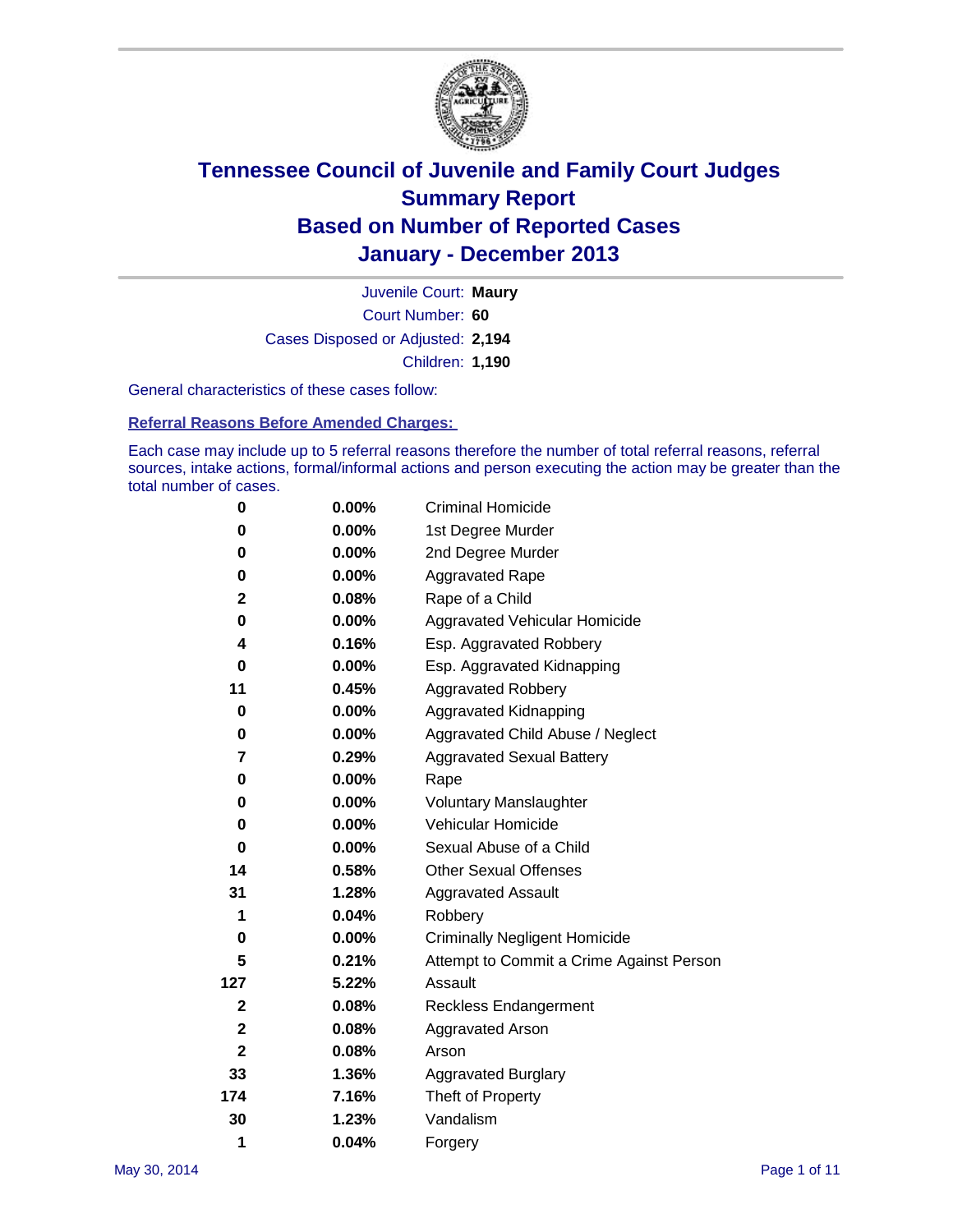

Court Number: **60** Juvenile Court: **Maury** Cases Disposed or Adjusted: **2,194** Children: **1,190**

General characteristics of these cases follow:

**Referral Reasons Before Amended Charges:** 

Each case may include up to 5 referral reasons therefore the number of total referral reasons, referral sources, intake actions, formal/informal actions and person executing the action may be greater than the total number of cases.

| 0                | $0.00\%$ | <b>Criminal Homicide</b>                 |  |  |  |
|------------------|----------|------------------------------------------|--|--|--|
| 0                | 0.00%    | 1st Degree Murder                        |  |  |  |
| 0                | 0.00%    | 2nd Degree Murder                        |  |  |  |
| 0                | $0.00\%$ | <b>Aggravated Rape</b>                   |  |  |  |
| $\mathbf 2$      | 0.08%    | Rape of a Child                          |  |  |  |
| 0                | $0.00\%$ | Aggravated Vehicular Homicide            |  |  |  |
| 4                | 0.16%    | Esp. Aggravated Robbery                  |  |  |  |
| 0                | 0.00%    | Esp. Aggravated Kidnapping               |  |  |  |
| 11               | 0.45%    | <b>Aggravated Robbery</b>                |  |  |  |
| 0                | $0.00\%$ | Aggravated Kidnapping                    |  |  |  |
| 0                | 0.00%    | Aggravated Child Abuse / Neglect         |  |  |  |
| 7                | 0.29%    | <b>Aggravated Sexual Battery</b>         |  |  |  |
| 0                | $0.00\%$ | Rape                                     |  |  |  |
| 0                | 0.00%    | <b>Voluntary Manslaughter</b>            |  |  |  |
| 0                | $0.00\%$ | Vehicular Homicide                       |  |  |  |
| 0                | $0.00\%$ | Sexual Abuse of a Child                  |  |  |  |
| 14               | 0.58%    | <b>Other Sexual Offenses</b>             |  |  |  |
| 31               | 1.28%    | <b>Aggravated Assault</b>                |  |  |  |
| 1                | 0.04%    | Robbery                                  |  |  |  |
| 0                | 0.00%    | <b>Criminally Negligent Homicide</b>     |  |  |  |
| 5                | 0.21%    | Attempt to Commit a Crime Against Person |  |  |  |
| 127              | 5.22%    | Assault                                  |  |  |  |
| $\boldsymbol{2}$ | 0.08%    | <b>Reckless Endangerment</b>             |  |  |  |
| $\mathbf 2$      | 0.08%    | <b>Aggravated Arson</b>                  |  |  |  |
| $\mathbf{2}$     | 0.08%    | Arson                                    |  |  |  |
| 33               | 1.36%    | <b>Aggravated Burglary</b>               |  |  |  |
| 174              | 7.16%    | Theft of Property                        |  |  |  |
| 30               | 1.23%    | Vandalism                                |  |  |  |
| 1                | 0.04%    | Forgery                                  |  |  |  |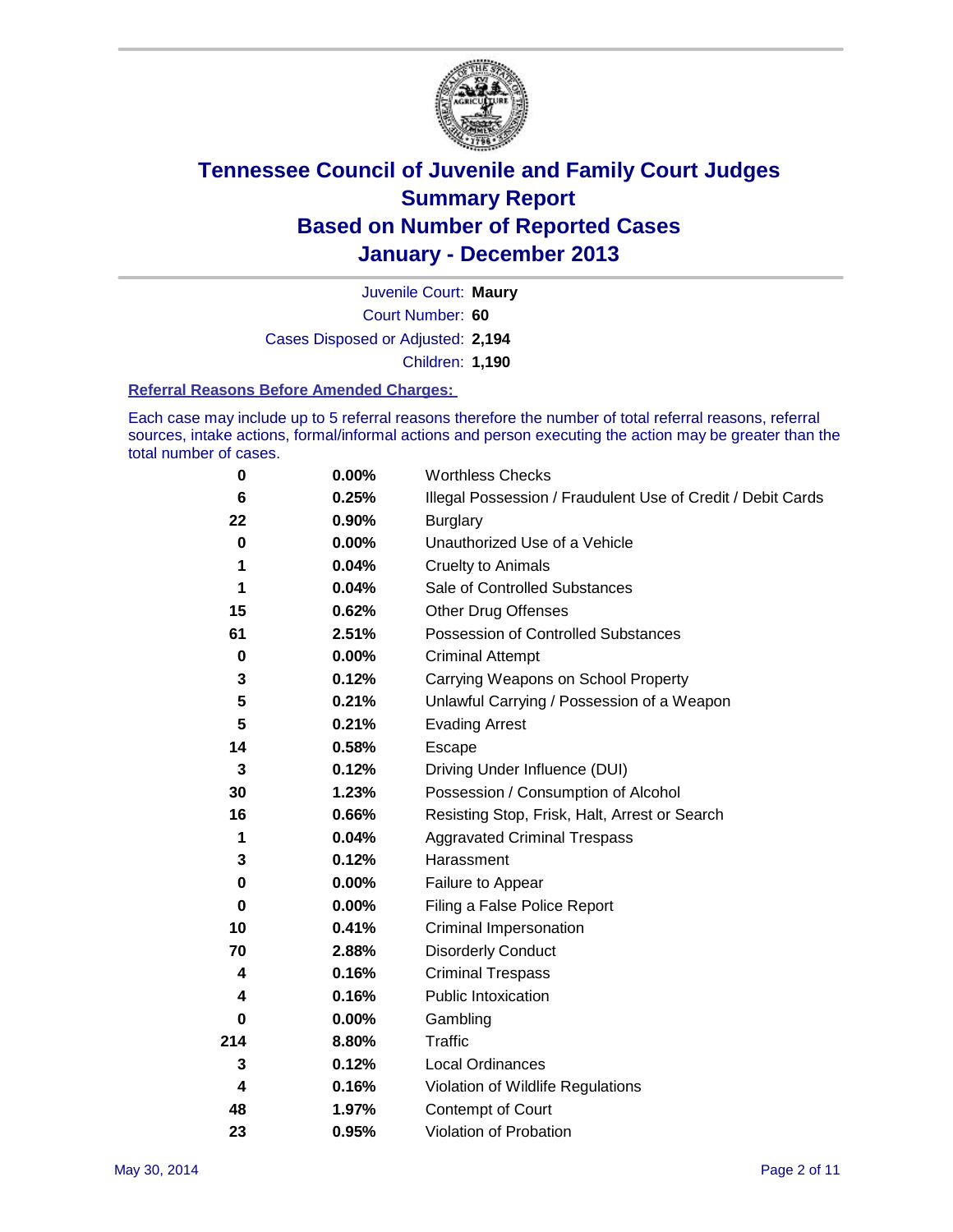

Court Number: **60** Juvenile Court: **Maury** Cases Disposed or Adjusted: **2,194** Children: **1,190**

#### **Referral Reasons Before Amended Charges:**

Each case may include up to 5 referral reasons therefore the number of total referral reasons, referral sources, intake actions, formal/informal actions and person executing the action may be greater than the total number of cases.

| 0           | 0.00%    | <b>Worthless Checks</b>                                     |
|-------------|----------|-------------------------------------------------------------|
| 6           | 0.25%    | Illegal Possession / Fraudulent Use of Credit / Debit Cards |
| 22          | 0.90%    | <b>Burglary</b>                                             |
| 0           | $0.00\%$ | Unauthorized Use of a Vehicle                               |
| 1           | 0.04%    | <b>Cruelty to Animals</b>                                   |
| 1           | 0.04%    | Sale of Controlled Substances                               |
| 15          | 0.62%    | <b>Other Drug Offenses</b>                                  |
| 61          | 2.51%    | Possession of Controlled Substances                         |
| 0           | 0.00%    | <b>Criminal Attempt</b>                                     |
| 3           | 0.12%    | Carrying Weapons on School Property                         |
| 5           | 0.21%    | Unlawful Carrying / Possession of a Weapon                  |
| 5           | 0.21%    | <b>Evading Arrest</b>                                       |
| 14          | 0.58%    | Escape                                                      |
| 3           | 0.12%    | Driving Under Influence (DUI)                               |
| 30          | 1.23%    | Possession / Consumption of Alcohol                         |
| 16          | 0.66%    | Resisting Stop, Frisk, Halt, Arrest or Search               |
| 1           | 0.04%    | <b>Aggravated Criminal Trespass</b>                         |
| 3           | 0.12%    | Harassment                                                  |
| $\mathbf 0$ | 0.00%    | Failure to Appear                                           |
| 0           | 0.00%    | Filing a False Police Report                                |
| 10          | 0.41%    | Criminal Impersonation                                      |
| 70          | 2.88%    | <b>Disorderly Conduct</b>                                   |
| 4           | 0.16%    | <b>Criminal Trespass</b>                                    |
| 4           | 0.16%    | <b>Public Intoxication</b>                                  |
| 0           | 0.00%    | Gambling                                                    |
| 214         | 8.80%    | <b>Traffic</b>                                              |
| 3           | 0.12%    | <b>Local Ordinances</b>                                     |
| 4           | 0.16%    | Violation of Wildlife Regulations                           |
| 48          | 1.97%    | Contempt of Court                                           |
| 23          | 0.95%    | Violation of Probation                                      |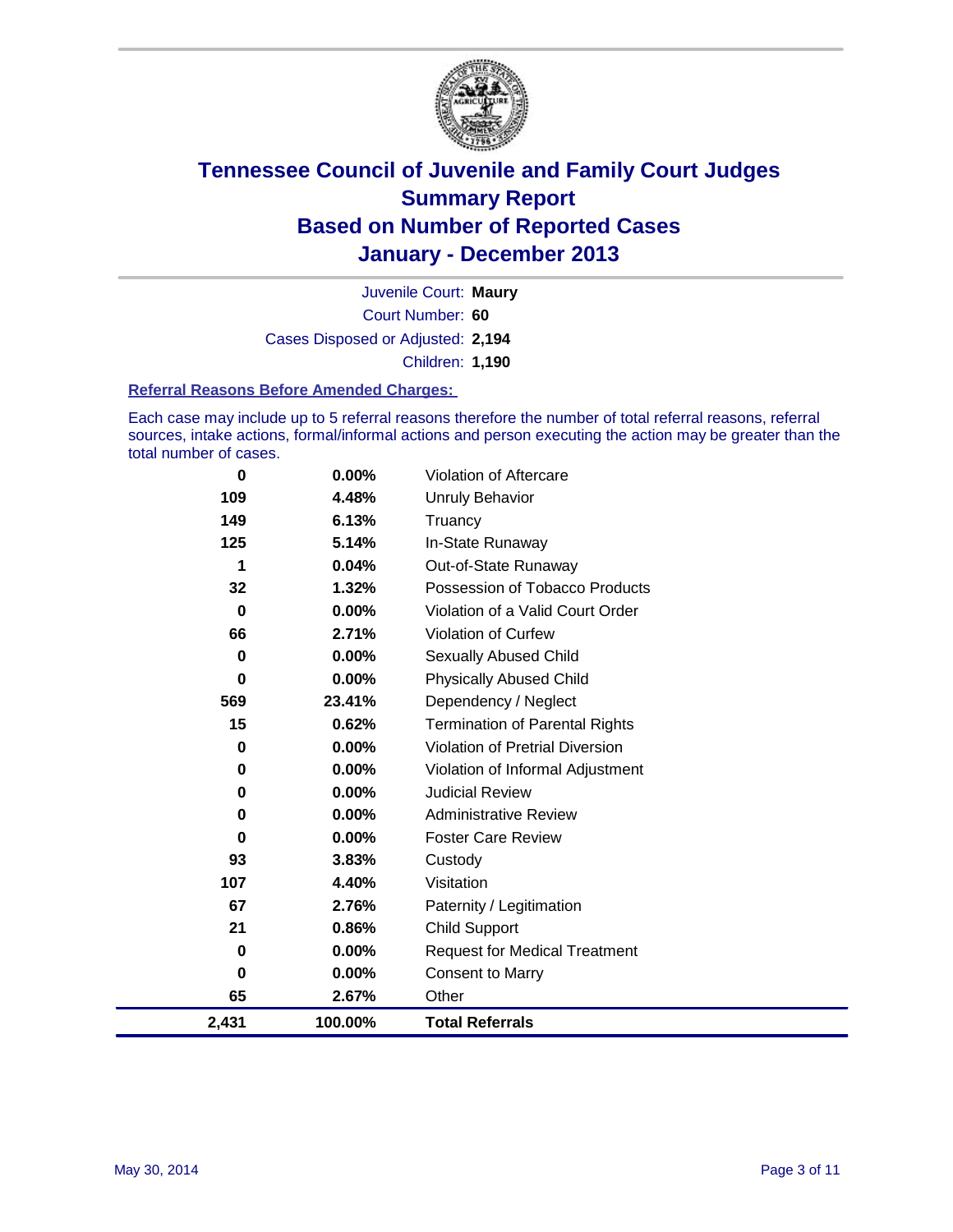

Court Number: **60** Juvenile Court: **Maury** Cases Disposed or Adjusted: **2,194** Children: **1,190**

#### **Referral Reasons Before Amended Charges:**

Each case may include up to 5 referral reasons therefore the number of total referral reasons, referral sources, intake actions, formal/informal actions and person executing the action may be greater than the total number of cases.

| 0           | 0.00%   | <b>Violation of Aftercare</b>          |
|-------------|---------|----------------------------------------|
| 109         | 4.48%   | Unruly Behavior                        |
| 149         | 6.13%   | Truancy                                |
| 125         | 5.14%   | In-State Runaway                       |
| 1           | 0.04%   | Out-of-State Runaway                   |
| 32          | 1.32%   | Possession of Tobacco Products         |
| $\mathbf 0$ | 0.00%   | Violation of a Valid Court Order       |
| 66          | 2.71%   | <b>Violation of Curfew</b>             |
| 0           | 0.00%   | Sexually Abused Child                  |
| $\bf{0}$    | 0.00%   | <b>Physically Abused Child</b>         |
| 569         | 23.41%  | Dependency / Neglect                   |
| 15          | 0.62%   | <b>Termination of Parental Rights</b>  |
| 0           | 0.00%   | <b>Violation of Pretrial Diversion</b> |
| 0           | 0.00%   | Violation of Informal Adjustment       |
| 0           | 0.00%   | <b>Judicial Review</b>                 |
| 0           | 0.00%   | <b>Administrative Review</b>           |
| 0           | 0.00%   | <b>Foster Care Review</b>              |
| 93          | 3.83%   | Custody                                |
| 107         | 4.40%   | Visitation                             |
| 67          | 2.76%   | Paternity / Legitimation               |
| 21          | 0.86%   | <b>Child Support</b>                   |
| 0           | 0.00%   | <b>Request for Medical Treatment</b>   |
| $\bf{0}$    | 0.00%   | <b>Consent to Marry</b>                |
| 65          | 2.67%   | Other                                  |
| 2,431       | 100.00% | <b>Total Referrals</b>                 |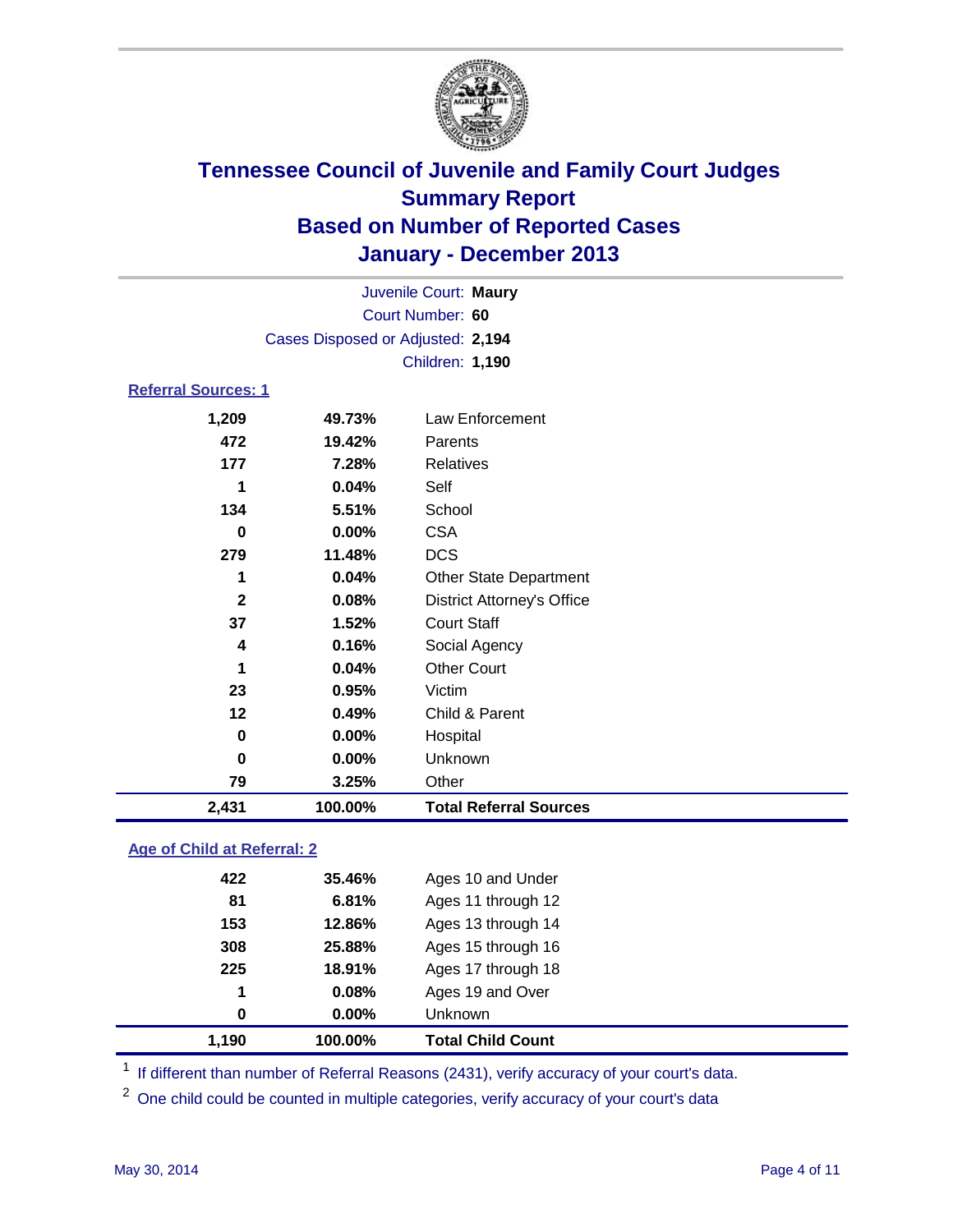

| Juvenile Court: Maury              |                                   |                                   |  |  |  |
|------------------------------------|-----------------------------------|-----------------------------------|--|--|--|
| Court Number: 60                   |                                   |                                   |  |  |  |
|                                    | Cases Disposed or Adjusted: 2,194 |                                   |  |  |  |
|                                    |                                   | Children: 1,190                   |  |  |  |
| <b>Referral Sources: 1</b>         |                                   |                                   |  |  |  |
| 1,209                              | 49.73%                            | Law Enforcement                   |  |  |  |
| 472                                | 19.42%                            | Parents                           |  |  |  |
| 177                                | 7.28%                             | <b>Relatives</b>                  |  |  |  |
| 1                                  | 0.04%                             | Self                              |  |  |  |
| 134                                | 5.51%                             | School                            |  |  |  |
| $\bf{0}$                           | 0.00%                             | <b>CSA</b>                        |  |  |  |
| 279                                | 11.48%                            | <b>DCS</b>                        |  |  |  |
| 1                                  | 0.04%                             | <b>Other State Department</b>     |  |  |  |
| $\mathbf{2}$                       | 0.08%                             | <b>District Attorney's Office</b> |  |  |  |
| 37                                 | 1.52%                             | <b>Court Staff</b>                |  |  |  |
| 4                                  | 0.16%                             | Social Agency                     |  |  |  |
| 1                                  | 0.04%                             | <b>Other Court</b>                |  |  |  |
| 23                                 | 0.95%                             | Victim                            |  |  |  |
| 12                                 | 0.49%                             | Child & Parent                    |  |  |  |
| $\bf{0}$                           | 0.00%                             | Hospital                          |  |  |  |
| 0                                  | 0.00%                             | Unknown                           |  |  |  |
| 79                                 | 3.25%                             | Other                             |  |  |  |
| 2,431                              | 100.00%                           | <b>Total Referral Sources</b>     |  |  |  |
| <b>Age of Child at Referral: 2</b> |                                   |                                   |  |  |  |

|     | 100.00%  | <b>Total Child Count</b> |
|-----|----------|--------------------------|
| 0   | $0.00\%$ | <b>Unknown</b>           |
| 1   | 0.08%    | Ages 19 and Over         |
| 225 | 18.91%   | Ages 17 through 18       |
| 308 | 25.88%   | Ages 15 through 16       |
| 153 | 12.86%   | Ages 13 through 14       |
| 81  | 6.81%    | Ages 11 through 12       |
| 422 | 35.46%   | Ages 10 and Under        |
|     | 1,190    |                          |

<sup>1</sup> If different than number of Referral Reasons (2431), verify accuracy of your court's data.

<sup>2</sup> One child could be counted in multiple categories, verify accuracy of your court's data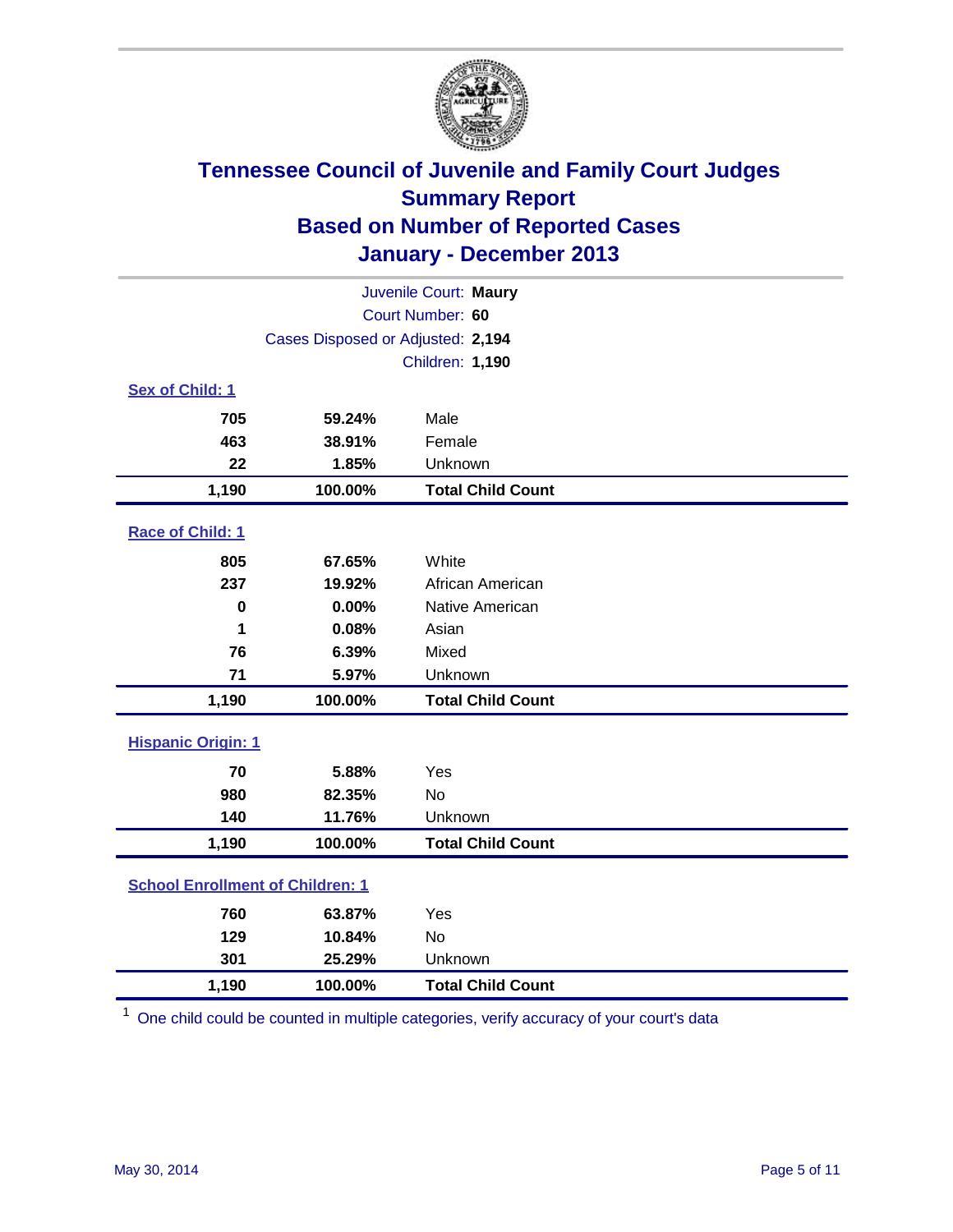

| Juvenile Court: Maury                   |                                   |                          |  |  |  |
|-----------------------------------------|-----------------------------------|--------------------------|--|--|--|
| Court Number: 60                        |                                   |                          |  |  |  |
|                                         | Cases Disposed or Adjusted: 2,194 |                          |  |  |  |
|                                         |                                   | <b>Children: 1,190</b>   |  |  |  |
| Sex of Child: 1                         |                                   |                          |  |  |  |
| 705                                     | 59.24%                            | Male                     |  |  |  |
| 463                                     | 38.91%                            | Female                   |  |  |  |
| 22                                      | 1.85%                             | Unknown                  |  |  |  |
| 1,190                                   | 100.00%                           | <b>Total Child Count</b> |  |  |  |
| Race of Child: 1                        |                                   |                          |  |  |  |
| 805                                     | 67.65%                            | White                    |  |  |  |
| 237                                     | 19.92%                            | African American         |  |  |  |
| $\mathbf 0$                             | 0.00%                             | Native American          |  |  |  |
| 1                                       | 0.08%                             | Asian                    |  |  |  |
| 76                                      | 6.39%                             | Mixed                    |  |  |  |
| 71                                      | 5.97%                             | Unknown                  |  |  |  |
| 1,190                                   | 100.00%                           | <b>Total Child Count</b> |  |  |  |
| <b>Hispanic Origin: 1</b>               |                                   |                          |  |  |  |
| 70                                      | 5.88%                             | Yes                      |  |  |  |
| 980                                     | 82.35%                            | <b>No</b>                |  |  |  |
| 140                                     | 11.76%                            | Unknown                  |  |  |  |
| 1,190                                   | 100.00%                           | <b>Total Child Count</b> |  |  |  |
| <b>School Enrollment of Children: 1</b> |                                   |                          |  |  |  |
| 760                                     | 63.87%                            | Yes                      |  |  |  |
| 129                                     | 10.84%                            | <b>No</b>                |  |  |  |
| 301                                     | 25.29%                            | Unknown                  |  |  |  |
| 1,190                                   | 100.00%                           | <b>Total Child Count</b> |  |  |  |

<sup>1</sup> One child could be counted in multiple categories, verify accuracy of your court's data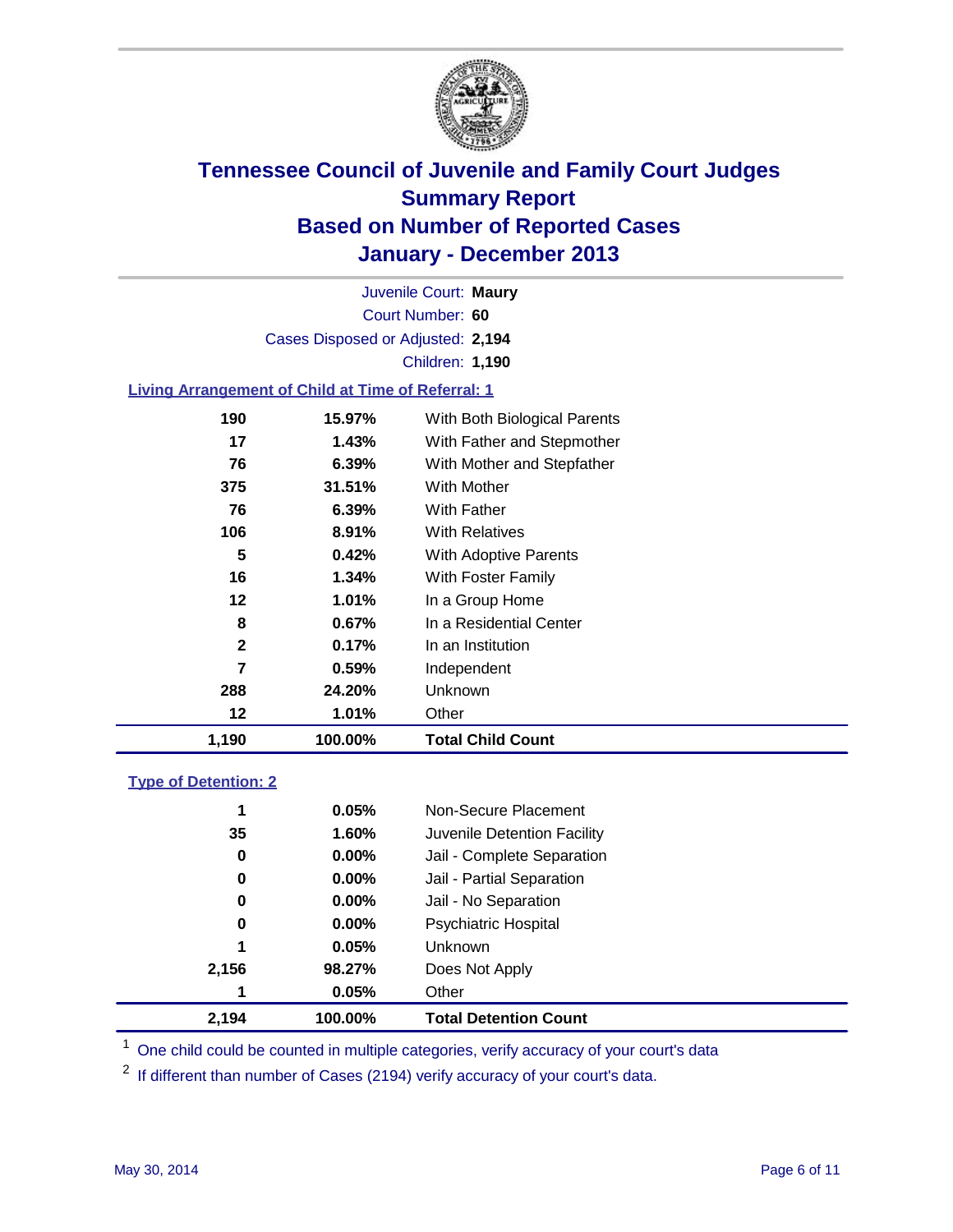

Court Number: **60** Juvenile Court: **Maury** Cases Disposed or Adjusted: **2,194** Children: **1,190**

### **Living Arrangement of Child at Time of Referral: 1**

| 1,190 | 100.00%  | <b>Total Child Count</b>     |
|-------|----------|------------------------------|
| 12    | 1.01%    | Other                        |
| 288   | 24.20%   | Unknown                      |
| 7     | 0.59%    | Independent                  |
| 2     | 0.17%    | In an Institution            |
| 8     | $0.67\%$ | In a Residential Center      |
| 12    | 1.01%    | In a Group Home              |
| 16    | 1.34%    | With Foster Family           |
| 5     | 0.42%    | <b>With Adoptive Parents</b> |
| 106   | 8.91%    | <b>With Relatives</b>        |
| 76    | 6.39%    | With Father                  |
| 375   | 31.51%   | <b>With Mother</b>           |
| 76    | 6.39%    | With Mother and Stepfather   |
| 17    | 1.43%    | With Father and Stepmother   |
| 190   | 15.97%   | With Both Biological Parents |
|       |          |                              |

#### **Type of Detention: 2**

| 2,194 | 100.00%  | <b>Total Detention Count</b> |
|-------|----------|------------------------------|
| 1     | 0.05%    | Other                        |
| 2,156 | 98.27%   | Does Not Apply               |
| 1     | 0.05%    | <b>Unknown</b>               |
| 0     | $0.00\%$ | <b>Psychiatric Hospital</b>  |
| 0     | 0.00%    | Jail - No Separation         |
| 0     | $0.00\%$ | Jail - Partial Separation    |
| 0     | 0.00%    | Jail - Complete Separation   |
| 35    | 1.60%    | Juvenile Detention Facility  |
| 1     | 0.05%    | Non-Secure Placement         |
|       |          |                              |

<sup>1</sup> One child could be counted in multiple categories, verify accuracy of your court's data

<sup>2</sup> If different than number of Cases (2194) verify accuracy of your court's data.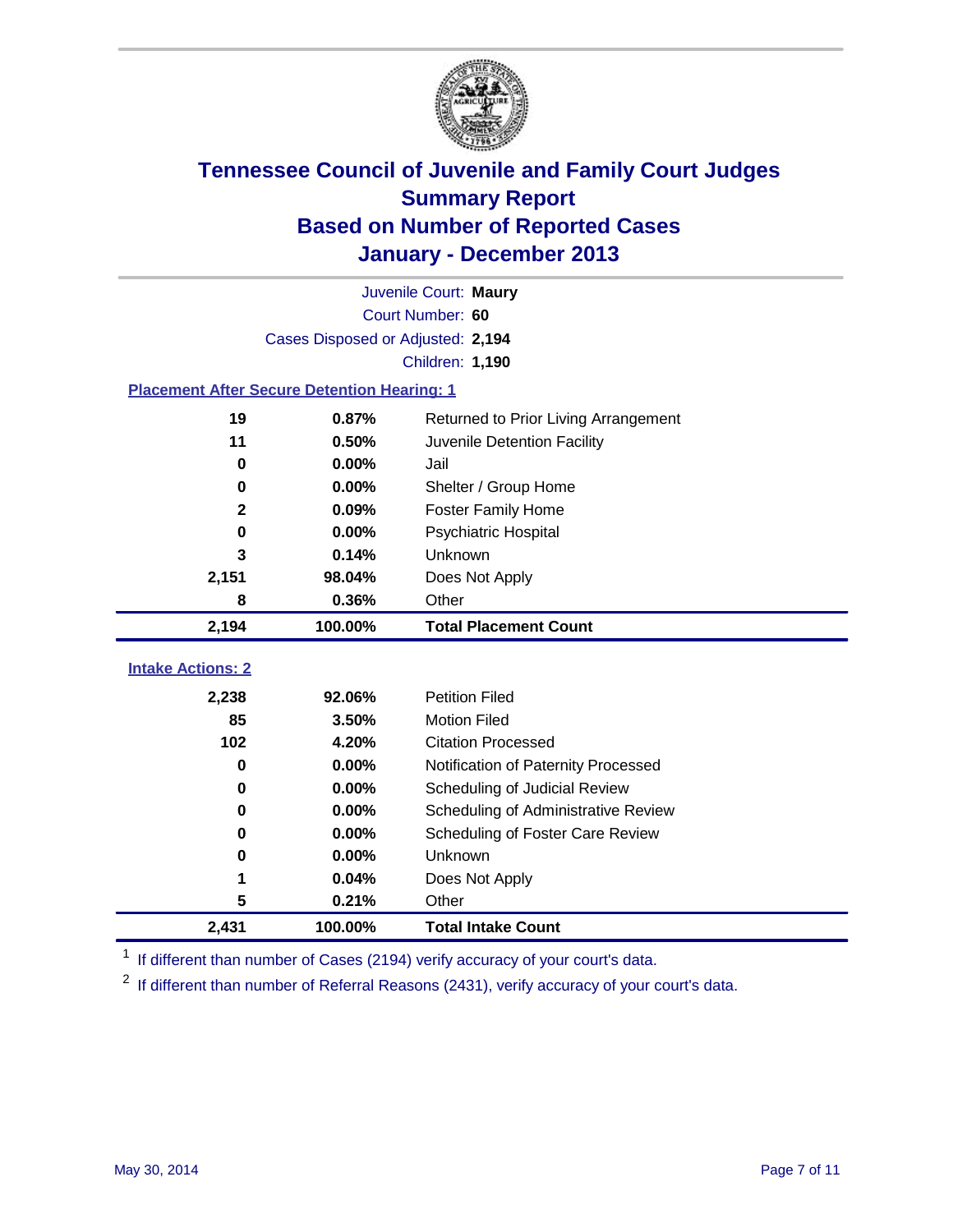

| Juvenile Court: Maury                              |                                   |                                      |  |  |  |
|----------------------------------------------------|-----------------------------------|--------------------------------------|--|--|--|
|                                                    | Court Number: 60                  |                                      |  |  |  |
|                                                    | Cases Disposed or Adjusted: 2,194 |                                      |  |  |  |
|                                                    |                                   | Children: 1,190                      |  |  |  |
| <b>Placement After Secure Detention Hearing: 1</b> |                                   |                                      |  |  |  |
| 19                                                 | 0.87%                             | Returned to Prior Living Arrangement |  |  |  |
| 11                                                 | 0.50%                             | Juvenile Detention Facility          |  |  |  |
| $\bf{0}$                                           | 0.00%                             | Jail                                 |  |  |  |
| 0                                                  | 0.00%                             | Shelter / Group Home                 |  |  |  |
| $\mathbf 2$                                        | 0.09%                             | <b>Foster Family Home</b>            |  |  |  |
| $\bf{0}$                                           | 0.00%                             | Psychiatric Hospital                 |  |  |  |
| 3                                                  | 0.14%                             | Unknown                              |  |  |  |
| 2,151                                              | 98.04%                            | Does Not Apply                       |  |  |  |
| 8                                                  | 0.36%                             | Other                                |  |  |  |
|                                                    |                                   |                                      |  |  |  |
| 2,194                                              | 100.00%                           | <b>Total Placement Count</b>         |  |  |  |
|                                                    |                                   |                                      |  |  |  |
| <b>Intake Actions: 2</b>                           |                                   |                                      |  |  |  |
| 2,238                                              | 92.06%                            | <b>Petition Filed</b>                |  |  |  |
| 85                                                 | 3.50%                             | <b>Motion Filed</b>                  |  |  |  |
| 102                                                | 4.20%                             | <b>Citation Processed</b>            |  |  |  |
| $\bf{0}$                                           | 0.00%                             | Notification of Paternity Processed  |  |  |  |
| 0                                                  | 0.00%                             | Scheduling of Judicial Review        |  |  |  |
| 0                                                  | 0.00%                             | Scheduling of Administrative Review  |  |  |  |
| 0                                                  | 0.00%                             | Scheduling of Foster Care Review     |  |  |  |
| 0                                                  | 0.00%                             | Unknown                              |  |  |  |
| 1                                                  | 0.04%                             | Does Not Apply                       |  |  |  |
| 5                                                  | 0.21%                             | Other                                |  |  |  |

<sup>1</sup> If different than number of Cases (2194) verify accuracy of your court's data.

 $2$  If different than number of Referral Reasons (2431), verify accuracy of your court's data.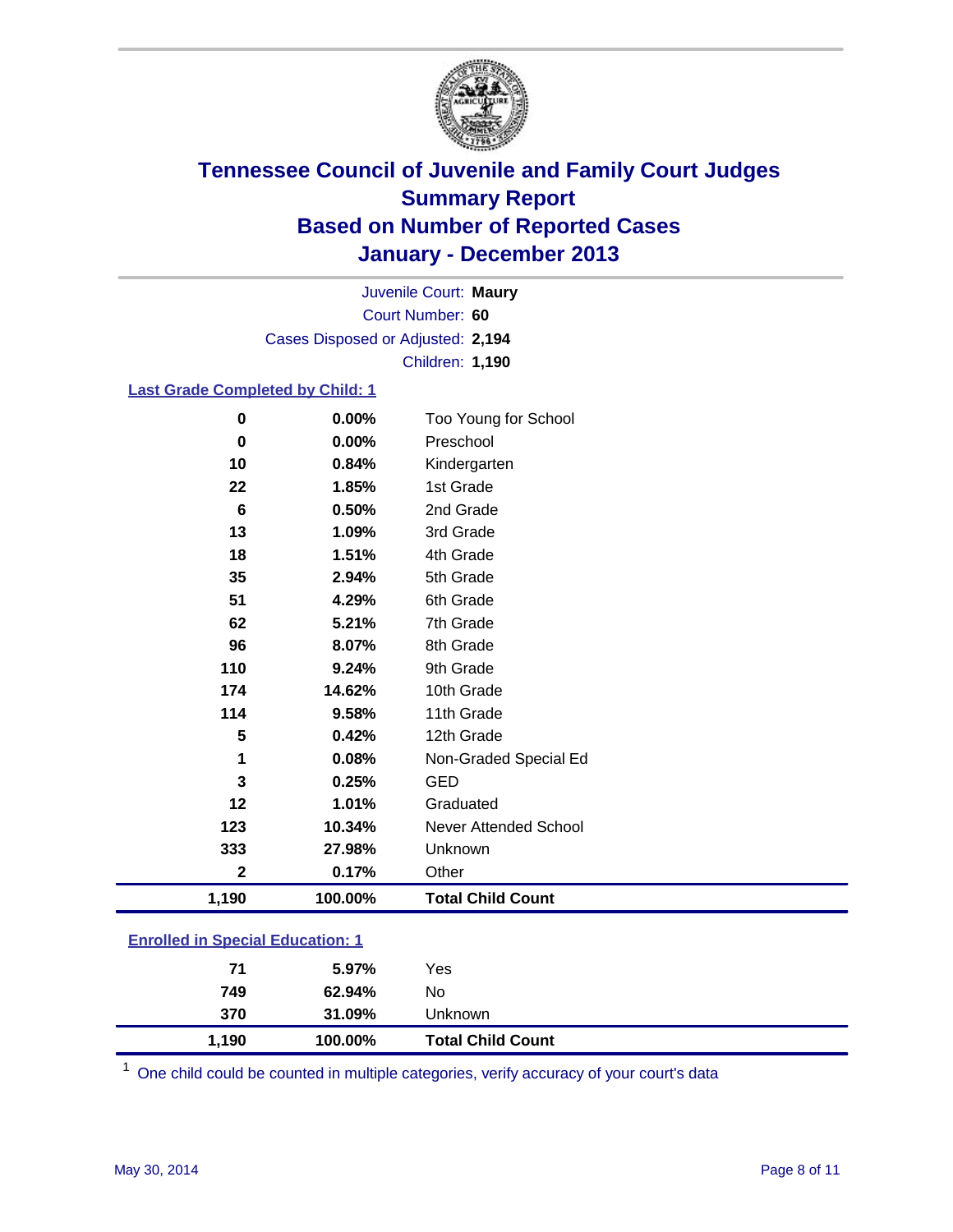

Court Number: **60** Juvenile Court: **Maury** Cases Disposed or Adjusted: **2,194** Children: **1,190**

### **Last Grade Completed by Child: 1**

| $\bf{0}$    | 0.00%   | Too Young for School     |
|-------------|---------|--------------------------|
| $\bf{0}$    | 0.00%   | Preschool                |
| 10          | 0.84%   | Kindergarten             |
| 22          | 1.85%   | 1st Grade                |
| 6           | 0.50%   | 2nd Grade                |
| 13          | 1.09%   | 3rd Grade                |
| 18          | 1.51%   | 4th Grade                |
| 35          | 2.94%   | 5th Grade                |
| 51          | 4.29%   | 6th Grade                |
| 62          | 5.21%   | 7th Grade                |
| 96          | 8.07%   | 8th Grade                |
| 110         | 9.24%   | 9th Grade                |
| 174         | 14.62%  | 10th Grade               |
| 114         | 9.58%   | 11th Grade               |
| 5           | 0.42%   | 12th Grade               |
| 1           | 0.08%   | Non-Graded Special Ed    |
| 3           | 0.25%   | <b>GED</b>               |
| 12          | 1.01%   | Graduated                |
| 123         | 10.34%  | Never Attended School    |
| 333         | 27.98%  | Unknown                  |
| $\mathbf 2$ | 0.17%   | Other                    |
| 1,190       | 100.00% | <b>Total Child Count</b> |

### **Enrolled in Special Education: 1**

| 1,190 | 100.00% | <b>Total Child Count</b> |  |
|-------|---------|--------------------------|--|
| 370   | 31.09%  | Unknown                  |  |
| 749   | 62.94%  | No                       |  |
| 71    | 5.97%   | Yes                      |  |
|       |         |                          |  |

One child could be counted in multiple categories, verify accuracy of your court's data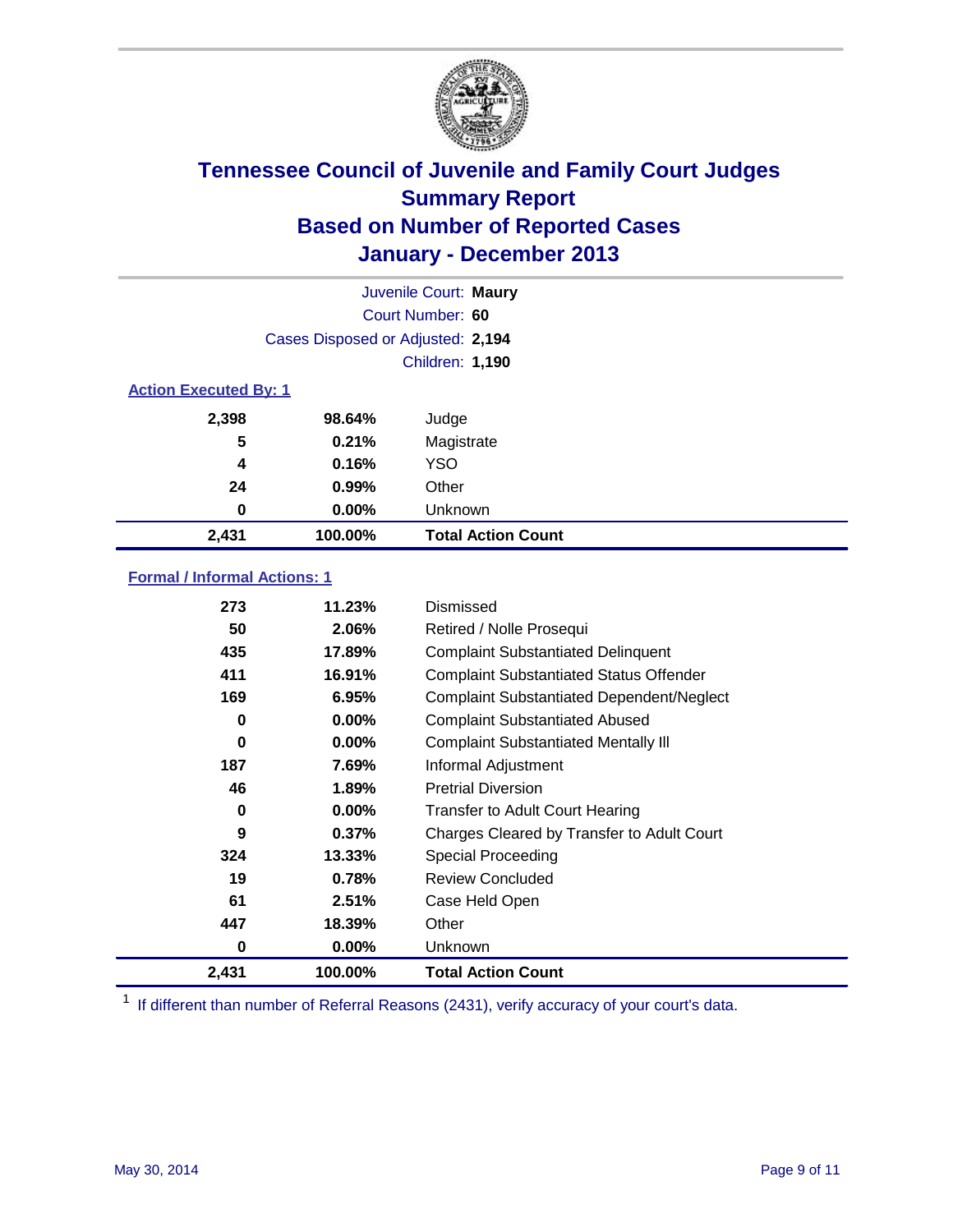

|                              | Juvenile Court: Maury             |                           |  |  |
|------------------------------|-----------------------------------|---------------------------|--|--|
|                              | Court Number: 60                  |                           |  |  |
|                              | Cases Disposed or Adjusted: 2,194 |                           |  |  |
|                              | <b>Children: 1,190</b>            |                           |  |  |
| <b>Action Executed By: 1</b> |                                   |                           |  |  |
| 2,398                        | 98.64%                            | Judge                     |  |  |
| 5                            | 0.21%                             | Magistrate                |  |  |
| 4                            | 0.16%                             | <b>YSO</b>                |  |  |
| 24                           | 0.99%                             | Other                     |  |  |
| 0                            | $0.00\%$                          | Unknown                   |  |  |
| 2,431                        | 100.00%                           | <b>Total Action Count</b> |  |  |

### **Formal / Informal Actions: 1**

| 273   | 11.23%   | Dismissed                                        |
|-------|----------|--------------------------------------------------|
| 50    | 2.06%    | Retired / Nolle Prosequi                         |
| 435   | 17.89%   | <b>Complaint Substantiated Delinquent</b>        |
| 411   | 16.91%   | <b>Complaint Substantiated Status Offender</b>   |
| 169   | 6.95%    | <b>Complaint Substantiated Dependent/Neglect</b> |
| 0     | $0.00\%$ | <b>Complaint Substantiated Abused</b>            |
| 0     | $0.00\%$ | <b>Complaint Substantiated Mentally III</b>      |
| 187   | 7.69%    | Informal Adjustment                              |
| 46    | 1.89%    | <b>Pretrial Diversion</b>                        |
| 0     | 0.00%    | <b>Transfer to Adult Court Hearing</b>           |
| 9     | 0.37%    | Charges Cleared by Transfer to Adult Court       |
| 324   | 13.33%   | Special Proceeding                               |
| 19    | 0.78%    | <b>Review Concluded</b>                          |
| 61    | 2.51%    | Case Held Open                                   |
| 447   | 18.39%   | Other                                            |
| 0     | $0.00\%$ | <b>Unknown</b>                                   |
| 2,431 | 100.00%  | <b>Total Action Count</b>                        |

<sup>1</sup> If different than number of Referral Reasons (2431), verify accuracy of your court's data.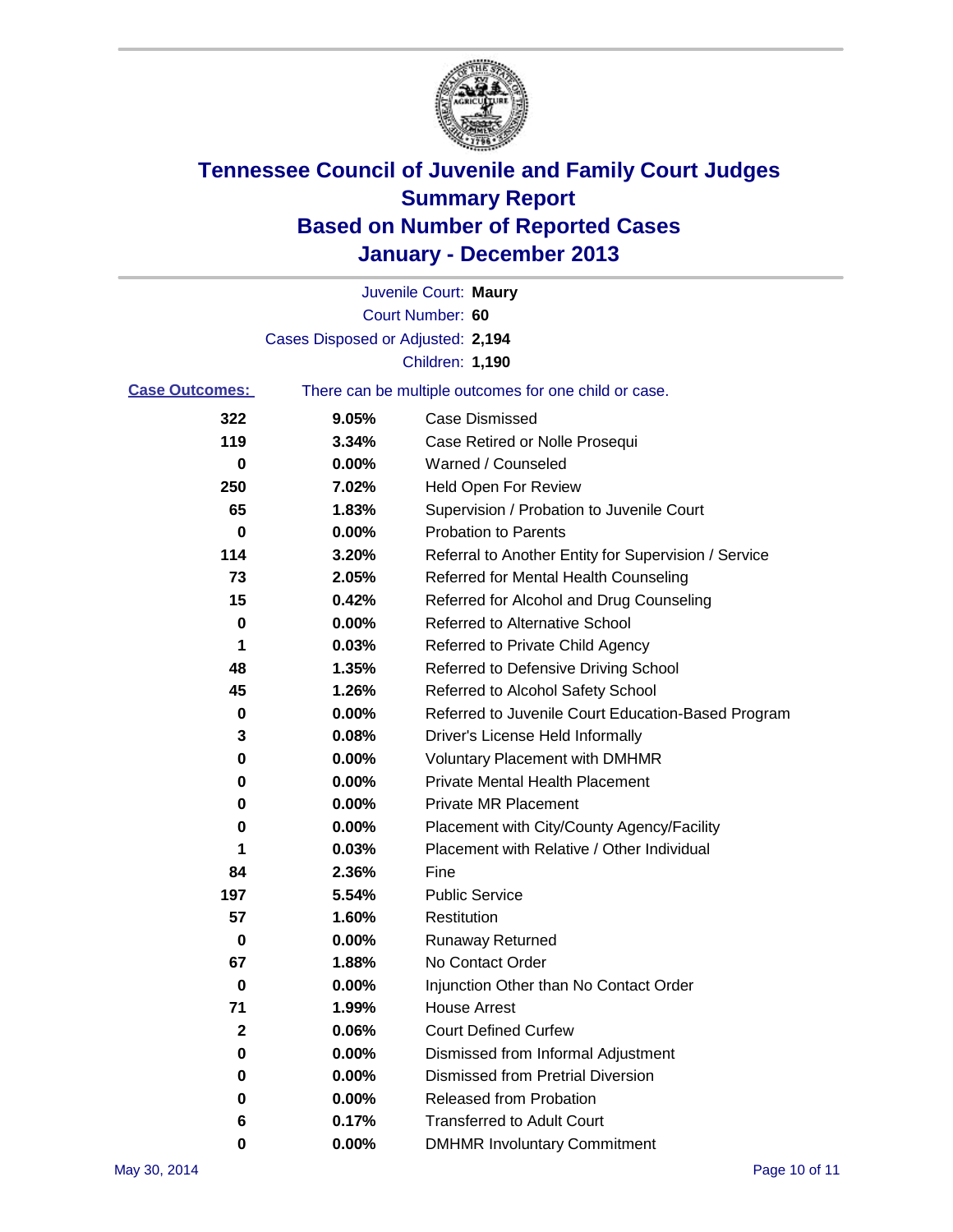

|                       |                                   | Juvenile Court: Maury                                 |
|-----------------------|-----------------------------------|-------------------------------------------------------|
|                       |                                   | Court Number: 60                                      |
|                       | Cases Disposed or Adjusted: 2,194 |                                                       |
|                       |                                   | Children: 1,190                                       |
| <b>Case Outcomes:</b> |                                   | There can be multiple outcomes for one child or case. |
| 322                   | 9.05%                             | Case Dismissed                                        |
| 119                   | 3.34%                             | Case Retired or Nolle Prosequi                        |
| 0                     | $0.00\%$                          | Warned / Counseled                                    |
| 250                   | 7.02%                             | <b>Held Open For Review</b>                           |
| 65                    | 1.83%                             | Supervision / Probation to Juvenile Court             |
| 0                     | 0.00%                             | <b>Probation to Parents</b>                           |
| 114                   | 3.20%                             | Referral to Another Entity for Supervision / Service  |
| 73                    | 2.05%                             | Referred for Mental Health Counseling                 |
| 15                    | 0.42%                             | Referred for Alcohol and Drug Counseling              |
| 0                     | 0.00%                             | Referred to Alternative School                        |
| 1                     | 0.03%                             | Referred to Private Child Agency                      |
| 48                    | 1.35%                             | Referred to Defensive Driving School                  |
| 45                    | 1.26%                             | Referred to Alcohol Safety School                     |
| 0                     | 0.00%                             | Referred to Juvenile Court Education-Based Program    |
| 3                     | 0.08%                             | Driver's License Held Informally                      |
| 0                     | 0.00%                             | <b>Voluntary Placement with DMHMR</b>                 |
| 0                     | 0.00%                             | <b>Private Mental Health Placement</b>                |
| 0                     | 0.00%                             | Private MR Placement                                  |
| 0                     | 0.00%                             | Placement with City/County Agency/Facility            |
| 1                     | 0.03%                             | Placement with Relative / Other Individual            |
| 84                    | 2.36%                             | Fine                                                  |
| 197                   | 5.54%                             | <b>Public Service</b>                                 |
| 57                    | 1.60%                             | Restitution                                           |
| 0                     | 0.00%                             | <b>Runaway Returned</b>                               |
| 67                    | 1.88%                             | No Contact Order                                      |
| 0                     | 0.00%                             | Injunction Other than No Contact Order                |
| 71                    | 1.99%                             | <b>House Arrest</b>                                   |
| 2                     | 0.06%                             | <b>Court Defined Curfew</b>                           |
| 0                     | 0.00%                             | Dismissed from Informal Adjustment                    |
| 0                     | 0.00%                             | <b>Dismissed from Pretrial Diversion</b>              |
| 0                     | 0.00%                             | Released from Probation                               |
| 6                     | 0.17%                             | <b>Transferred to Adult Court</b>                     |
| 0                     | 0.00%                             | <b>DMHMR Involuntary Commitment</b>                   |
|                       |                                   |                                                       |